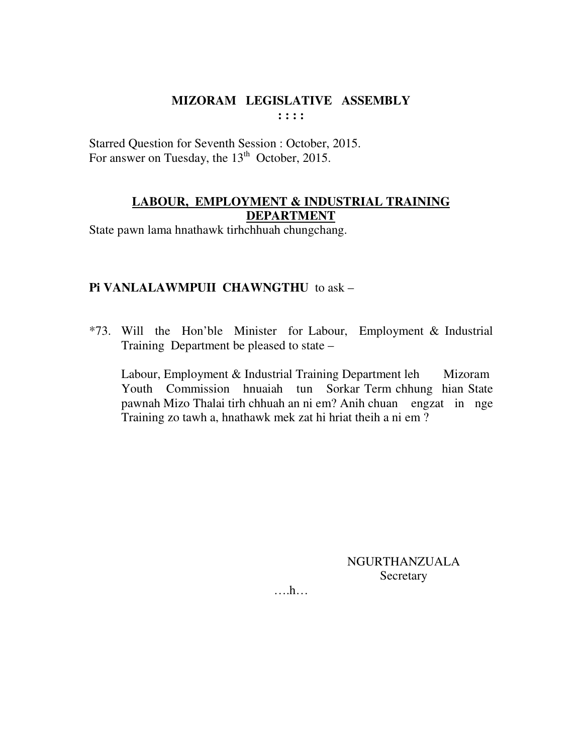Starred Question for Seventh Session : October, 2015. For answer on Tuesday, the  $13<sup>th</sup>$  October, 2015.

# **LABOUR, EMPLOYMENT & INDUSTRIAL TRAINING DEPARTMENT**

State pawn lama hnathawk tirhchhuah chungchang.

#### **Pi VANLALAWMPUII CHAWNGTHU** to ask –

\*73. Will the Hon'ble Minister for Labour, Employment & Industrial Training Department be pleased to state –

Labour, Employment & Industrial Training Department leh Mizoram Youth Commission hnuaiah tun Sorkar Term chhung hian State pawnah Mizo Thalai tirh chhuah an ni em? Anih chuan engzat in nge Training zo tawh a, hnathawk mek zat hi hriat theih a ni em ?

> NGURTHANZUALA Secretary

….h…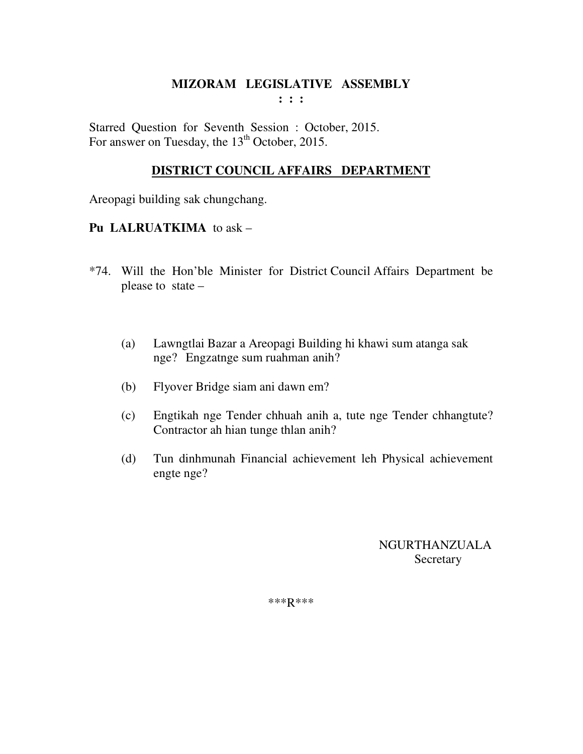**: : :** 

Starred Question for Seventh Session : October, 2015. For answer on Tuesday, the  $13<sup>th</sup>$  October, 2015.

# **DISTRICT COUNCIL AFFAIRS DEPARTMENT**

Areopagi building sak chungchang.

## **Pu LALRUATKIMA** to ask –

- \*74. Will the Hon'ble Minister for District Council Affairs Department be please to state –
	- (a) Lawngtlai Bazar a Areopagi Building hi khawi sum atanga sak nge? Engzatnge sum ruahman anih?
	- (b) Flyover Bridge siam ani dawn em?
	- (c) Engtikah nge Tender chhuah anih a, tute nge Tender chhangtute? Contractor ah hian tunge thlan anih?
	- (d) Tun dinhmunah Financial achievement leh Physical achievement engte nge?

 NGURTHANZUALA Secretary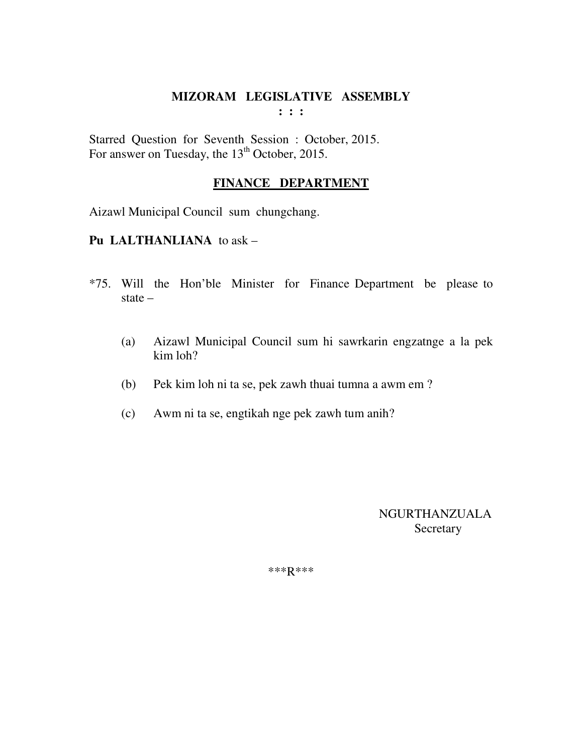Starred Question for Seventh Session : October, 2015. For answer on Tuesday, the  $13<sup>th</sup>$  October, 2015.

# **FINANCE DEPARTMENT**

Aizawl Municipal Council sum chungchang.

#### **Pu LALTHANLIANA** to ask –

- \*75. Will the Hon'ble Minister for Finance Department be please to state –
	- (a) Aizawl Municipal Council sum hi sawrkarin engzatnge a la pek kim loh?
	- (b) Pek kim loh ni ta se, pek zawh thuai tumna a awm em ?
	- (c) Awm ni ta se, engtikah nge pek zawh tum anih?

 NGURTHANZUALA Secretary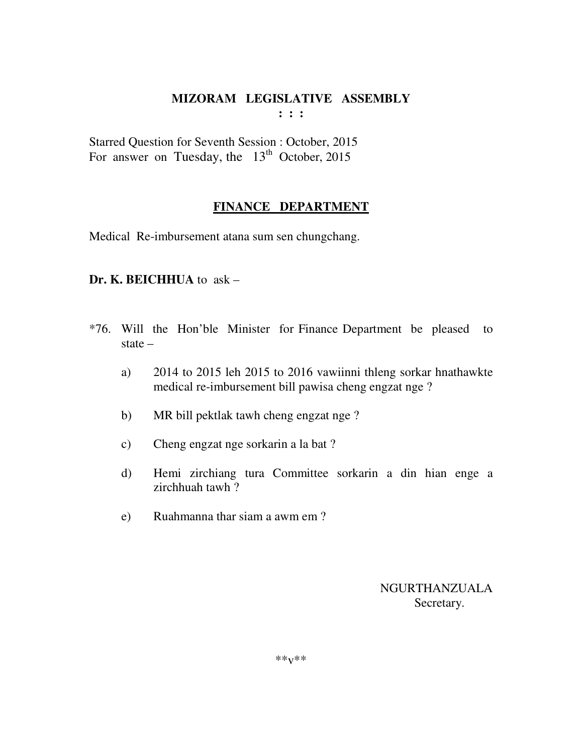**: : :** 

Starred Question for Seventh Session : October, 2015 For answer on Tuesday, the  $13<sup>th</sup>$  October, 2015

## **FINANCE DEPARTMENT**

Medical Re-imbursement atana sum sen chungchang.

## **Dr. K. BEICHHUA** to ask –

- \*76. Will the Hon'ble Minister for Finance Department be pleased to state –
	- a) 2014 to 2015 leh 2015 to 2016 vawiinni thleng sorkar hnathawkte medical re-imbursement bill pawisa cheng engzat nge ?
	- b) MR bill pektlak tawh cheng engzat nge ?
	- c) Cheng engzat nge sorkarin a la bat ?
	- d) Hemi zirchiang tura Committee sorkarin a din hian enge a zirchhuah tawh ?
	- e) Ruahmanna thar siam a awm em ?

 NGURTHANZUALA Secretary.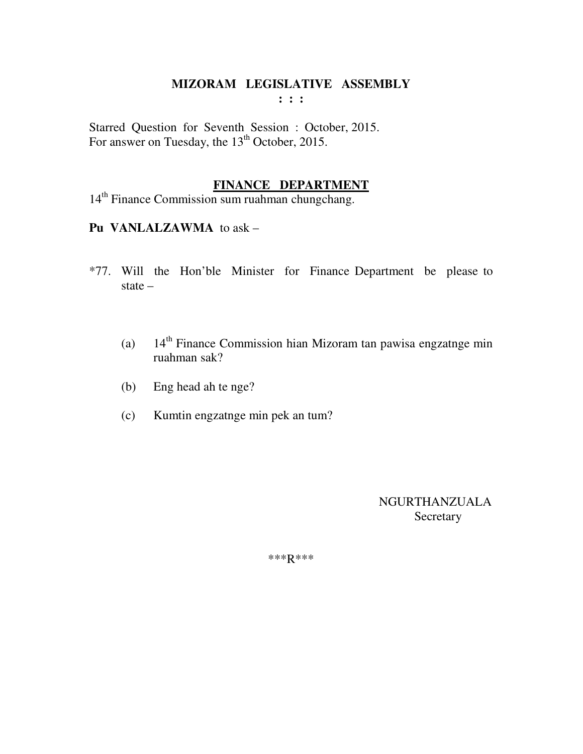**: : :** 

Starred Question for Seventh Session : October, 2015. For answer on Tuesday, the 13<sup>th</sup> October, 2015.

## **FINANCE DEPARTMENT**

14<sup>th</sup> Finance Commission sum ruahman chungchang.

#### **Pu VANLALZAWMA** to ask –

- \*77. Will the Hon'ble Minister for Finance Department be please to state –
	- (a)  $14<sup>th</sup>$  Finance Commission hian Mizoram tan pawisa engzatnge min ruahman sak?
	- (b) Eng head ah te nge?
	- (c) Kumtin engzatnge min pek an tum?

 NGURTHANZUALA Secretary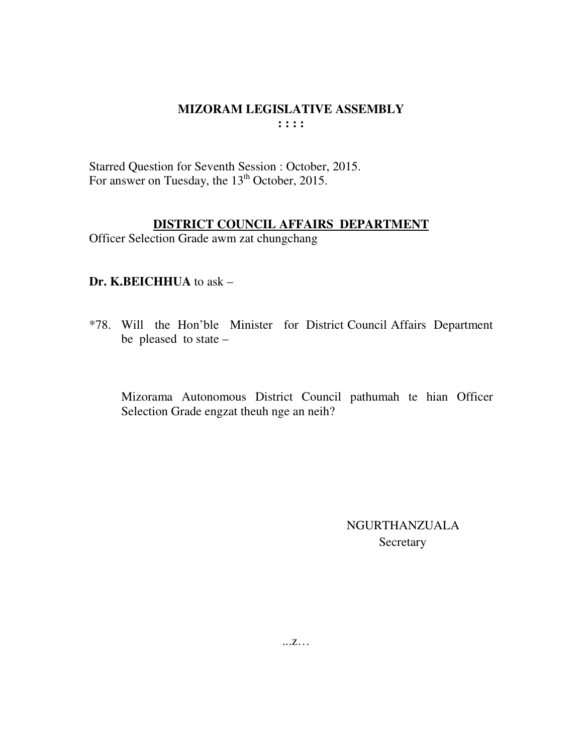Starred Question for Seventh Session : October, 2015. For answer on Tuesday, the 13<sup>th</sup> October, 2015.

# DISTRICT COUNCIL AFFAIRS DEPARTMENT

Officer Selection Grade awm zat chungchang

# Dr. K.BEICHHUA to ask -

\*78. Will the Hon'ble Minister for District Council Affairs Department be pleased to state  $-$ 

Mizorama Autonomous District Council pathumah te hian Officer Selection Grade engzat theuh nge an neih?

> **NGURTHANZUALA** Secretary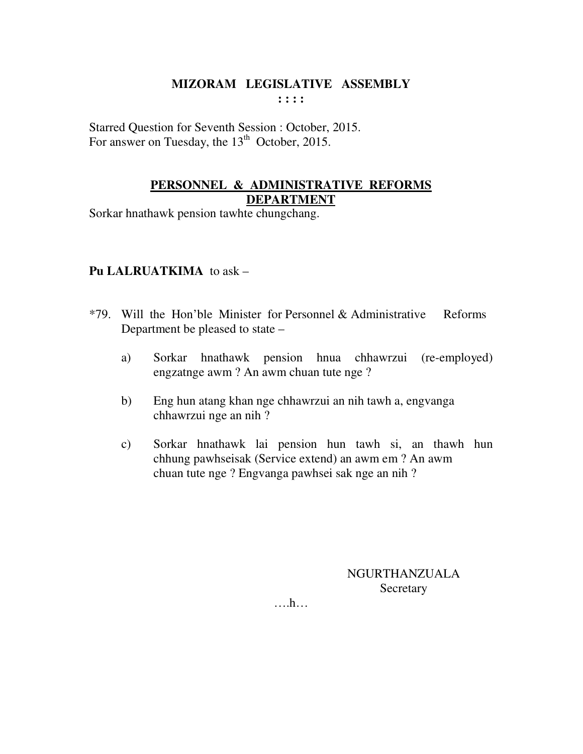Starred Question for Seventh Session : October, 2015. For answer on Tuesday, the  $13<sup>th</sup>$  October, 2015.

#### **PERSONNEL & ADMINISTRATIVE REFORMS DEPARTMENT**

Sorkar hnathawk pension tawhte chungchang.

## **Pu LALRUATKIMA** to ask –

- \*79. Will the Hon'ble Minister for Personnel & Administrative Reforms Department be pleased to state –
	- a) Sorkar hnathawk pension hnua chhawrzui (re-employed) engzatnge awm ? An awm chuan tute nge ?
	- b) Eng hun atang khan nge chhawrzui an nih tawh a, engvanga chhawrzui nge an nih ?
	- c) Sorkar hnathawk lai pension hun tawh si, an thawh hun chhung pawhseisak (Service extend) an awm em ? An awm chuan tute nge ? Engvanga pawhsei sak nge an nih ?

NGURTHANZUALA **Secretary** 

….h…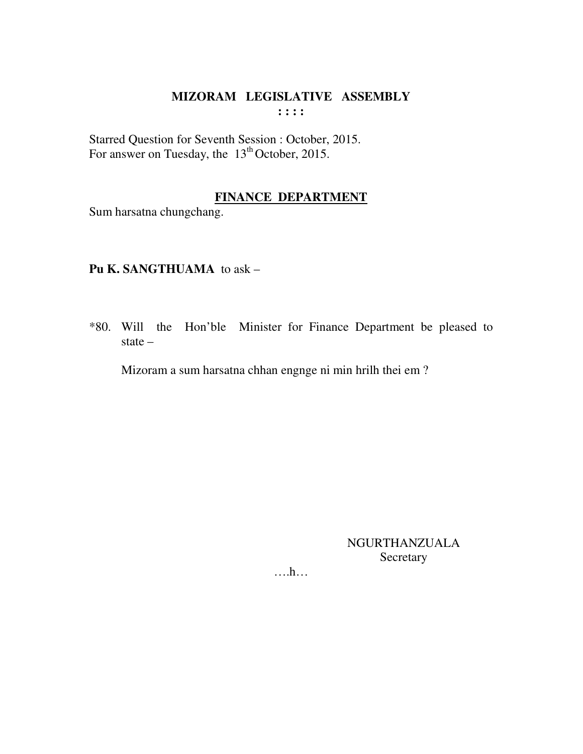Starred Question for Seventh Session : October, 2015.<br>For answer on Tuesday, the 13<sup>th</sup> October, 2015.

# **FINANCE DEPARTMENT**

Sum harsatna chungchang.

# Pu K. SANGTHUAMA to ask -

\*80. Will the Hon'ble Minister for Finance Department be pleased to state  $-$ 

Mizoram a sum harsatna chhan engnge ni min hrilh thei em?

**NGURTHANZUALA** Secretary

 $\dots h\dots$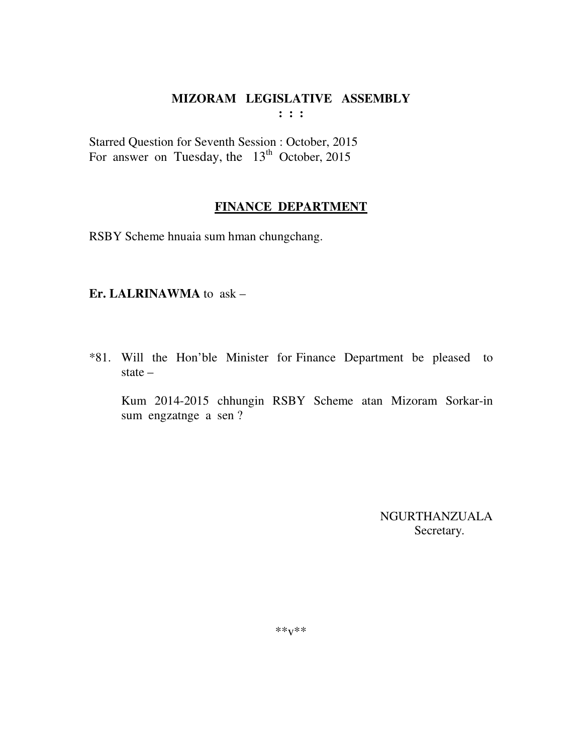$: : :$ 

Starred Question for Seventh Session : October, 2015 For answer on Tuesday, the  $13<sup>th</sup>$  October, 2015

# **FINANCE DEPARTMENT**

RSBY Scheme hnuaia sum hman chungchang.

#### Er. LALRINAWMA to ask -

\*81. Will the Hon'ble Minister for Finance Department be pleased to state  $-$ 

Kum 2014-2015 chhungin RSBY Scheme atan Mizoram Sorkar-in sum engzatnge a sen?

> NGURTHANZUALA Secretary.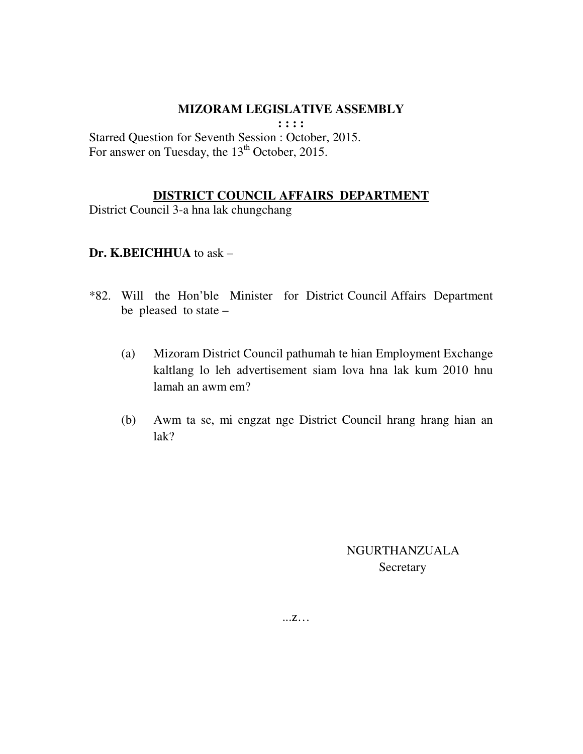**: : : :** 

Starred Question for Seventh Session : October, 2015. For answer on Tuesday, the 13<sup>th</sup> October, 2015.

# **DISTRICT COUNCIL AFFAIRS DEPARTMENT**

District Council 3-a hna lak chungchang

## **Dr. K.BEICHHUA** to ask –

- \*82. Will the Hon'ble Minister for District Council Affairs Department be pleased to state –
	- (a) Mizoram District Council pathumah te hian Employment Exchange kaltlang lo leh advertisement siam lova hna lak kum 2010 hnu lamah an awm em?
	- (b) Awm ta se, mi engzat nge District Council hrang hrang hian an lak?

 NGURTHANZUALA **Secretary**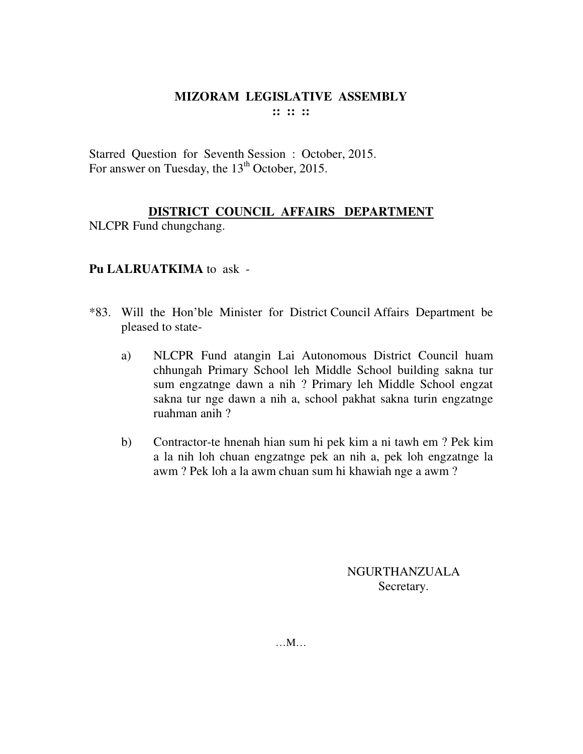Starred Question for Seventh Session : October, 2015. For answer on Tuesday, the 13<sup>th</sup> October, 2015.

# **DISTRICT COUNCIL AFFAIRS DEPARTMENT**

NLCPR Fund chungchang.

## **Pu LALRUATKIMA** to ask -

- \*83. Will the Hon'ble Minister for District Council Affairs Department be pleased to state
	- a) NLCPR Fund atangin Lai Autonomous District Council huam chhungah Primary School leh Middle School building sakna tur sum engzatnge dawn a nih ? Primary leh Middle School engzat sakna tur nge dawn a nih a, school pakhat sakna turin engzatnge ruahman anih ?
	- b) Contractor-te hnenah hian sum hi pek kim a ni tawh em ? Pek kim a la nih loh chuan engzatnge pek an nih a, pek loh engzatnge la awm ? Pek loh a la awm chuan sum hi khawiah nge a awm ?

NGURTHANZUALA Secretary.

…M…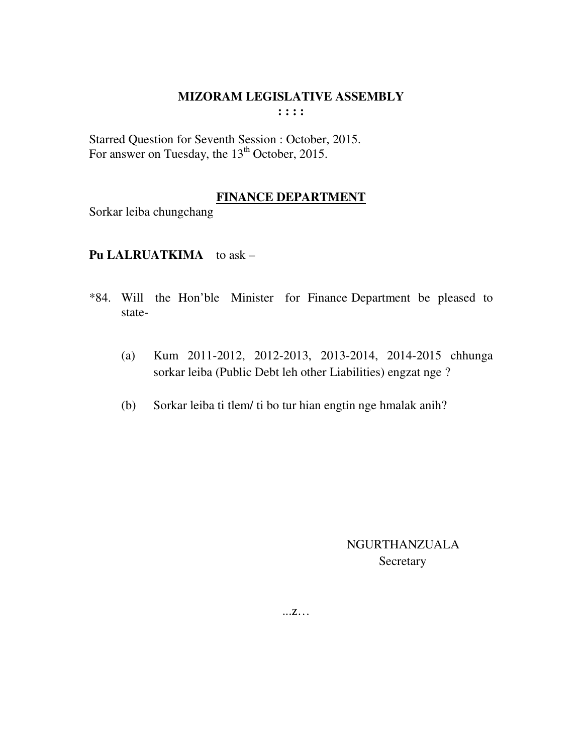Starred Question for Seventh Session : October, 2015. For answer on Tuesday, the 13<sup>th</sup> October, 2015.

# **FINANCE DEPARTMENT**

Sorkar leiba chungchang

## **Pu LALRUATKIMA** to ask –

- \*84. Will the Hon'ble Minister for Finance Department be pleased to state-
	- (a) Kum 2011-2012, 2012-2013, 2013-2014, 2014-2015 chhunga sorkar leiba (Public Debt leh other Liabilities) engzat nge ?
	- (b) Sorkar leiba ti tlem/ ti bo tur hian engtin nge hmalak anih?

 NGURTHANZUALA Secretary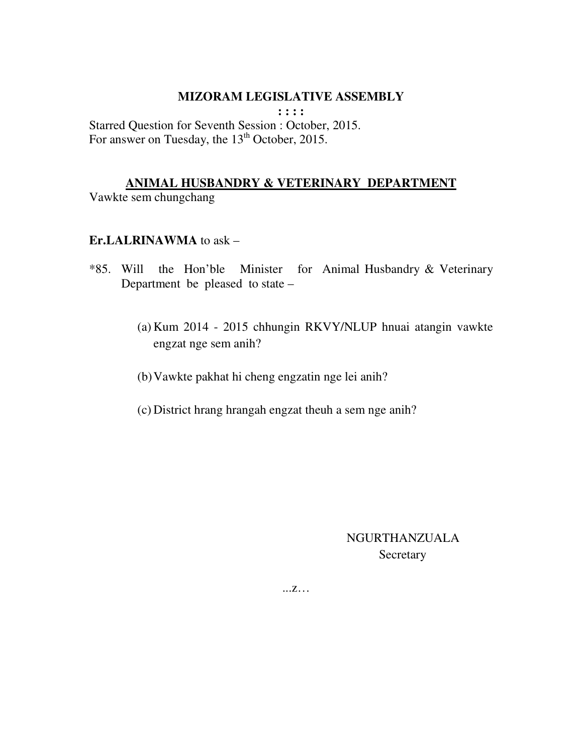**: : : :** 

Starred Question for Seventh Session : October, 2015. For answer on Tuesday, the 13<sup>th</sup> October, 2015.

#### **ANIMAL HUSBANDRY & VETERINARY DEPARTMENT**

Vawkte sem chungchang

#### **Er.LALRINAWMA** to ask –

- \*85. Will the Hon'ble Minister for Animal Husbandry & Veterinary Department be pleased to state –
	- (a) Kum 2014 2015 chhungin RKVY/NLUP hnuai atangin vawkte engzat nge sem anih?
	- (b)Vawkte pakhat hi cheng engzatin nge lei anih?
	- (c) District hrang hrangah engzat theuh a sem nge anih?

# NGURTHANZUALA **Secretary**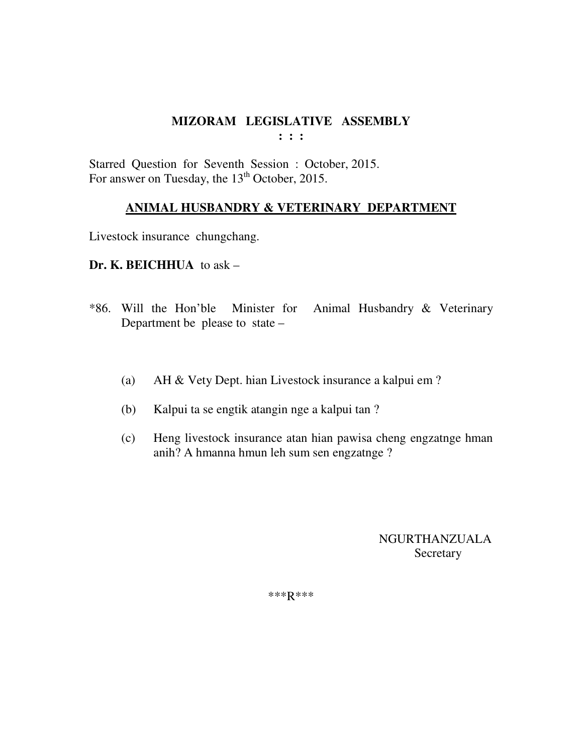**: : :** 

Starred Question for Seventh Session : October, 2015. For answer on Tuesday, the 13<sup>th</sup> October, 2015.

#### **ANIMAL HUSBANDRY & VETERINARY DEPARTMENT**

Livestock insurance chungchang.

#### **Dr. K. BEICHHUA** to ask –

- \*86. Will the Hon'ble Minister for Animal Husbandry & Veterinary Department be please to state –
	- (a) AH & Vety Dept. hian Livestock insurance a kalpui em ?
	- (b) Kalpui ta se engtik atangin nge a kalpui tan ?
	- (c) Heng livestock insurance atan hian pawisa cheng engzatnge hman anih? A hmanna hmun leh sum sen engzatnge ?

 NGURTHANZUALA Secretary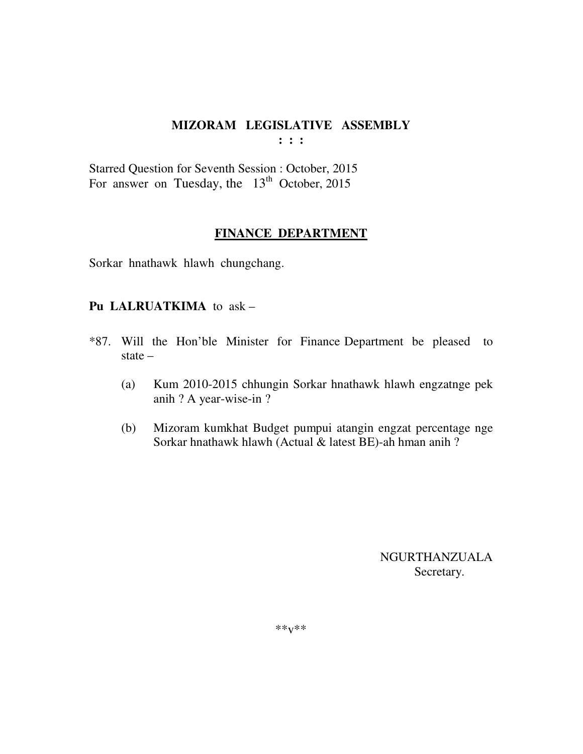**: : :** 

Starred Question for Seventh Session : October, 2015 For answer on Tuesday, the  $13<sup>th</sup>$  October, 2015

#### **FINANCE DEPARTMENT**

Sorkar hnathawk hlawh chungchang.

#### **Pu LALRUATKIMA** to ask –

- \*87. Will the Hon'ble Minister for Finance Department be pleased to state –
	- (a) Kum 2010-2015 chhungin Sorkar hnathawk hlawh engzatnge pek anih ? A year-wise-in ?
	- (b) Mizoram kumkhat Budget pumpui atangin engzat percentage nge Sorkar hnathawk hlawh (Actual & latest BE)-ah hman anih ?

 NGURTHANZUALA Secretary.

\*\*v\*\*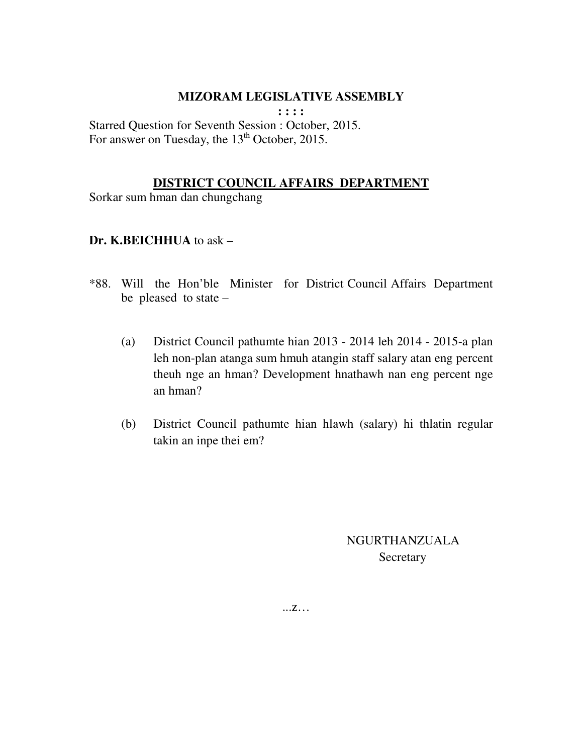**: : : :** 

Starred Question for Seventh Session : October, 2015. For answer on Tuesday, the 13<sup>th</sup> October, 2015.

#### **DISTRICT COUNCIL AFFAIRS DEPARTMENT**

Sorkar sum hman dan chungchang

#### **Dr. K.BEICHHUA** to ask –

- \*88. Will the Hon'ble Minister for District Council Affairs Department be pleased to state –
	- (a) District Council pathumte hian 2013 2014 leh 2014 2015-a plan leh non-plan atanga sum hmuh atangin staff salary atan eng percent theuh nge an hman? Development hnathawh nan eng percent nge an hman?
	- (b) District Council pathumte hian hlawh (salary) hi thlatin regular takin an inpe thei em?

 NGURTHANZUALA **Secretary**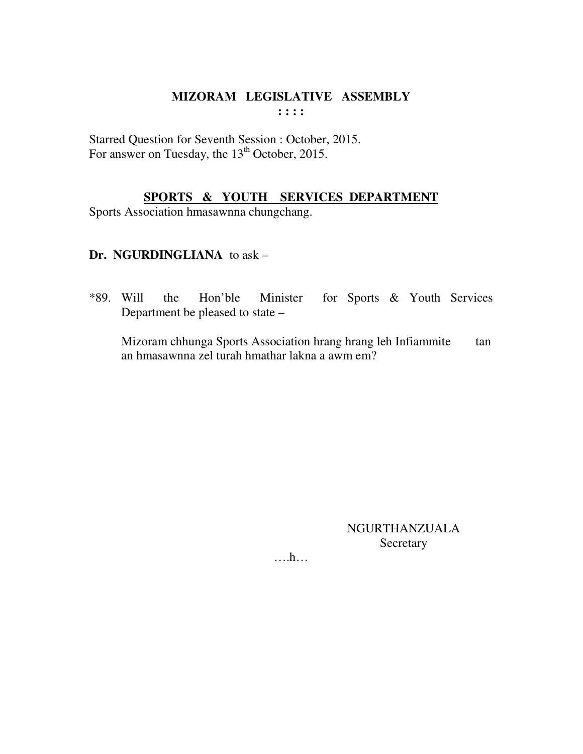Starred Question for Seventh Session : October, 2015. For answer on Tuesday, the 13<sup>th</sup> October, 2015.

# **SPORTS & YOUTH SERVICES DEPARTMENT**

Sports Association hmasawnna chungchang.

# **Dr. NGURDINGLIANA** to ask –

\*89. Will the Hon'ble Minister for Sports & Youth Services Department be pleased to state –

 Mizoram chhunga Sports Association hrang hrang leh Infiammite tan an hmasawnna zel turah hmathar lakna a awm em?

> NGURTHANZUALA Secretary

….h…